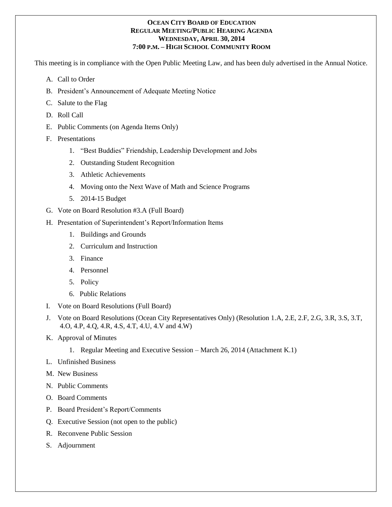#### **OCEAN CITY BOARD OF EDUCATION REGULAR MEETING/PUBLIC HEARING AGENDA WEDNESDAY, APRIL 30, 2014 7:00 P.M. – HIGH SCHOOL COMMUNITY ROOM**

This meeting is in compliance with the Open Public Meeting Law, and has been duly advertised in the Annual Notice.

- A. Call to Order
- B. President's Announcement of Adequate Meeting Notice
- C. Salute to the Flag
- D. Roll Call
- E. Public Comments (on Agenda Items Only)
- F. Presentations
	- 1. "Best Buddies" Friendship, Leadership Development and Jobs
	- 2. Outstanding Student Recognition
	- 3. Athletic Achievements
	- 4. Moving onto the Next Wave of Math and Science Programs
	- 5. 2014-15 Budget
- G. Vote on Board Resolution #3.A (Full Board)
- H. Presentation of Superintendent's Report/Information Items
	- 1. Buildings and Grounds
	- 2. Curriculum and Instruction
	- 3. Finance
	- 4. Personnel
	- 5. Policy
	- 6. Public Relations
- I. Vote on Board Resolutions (Full Board)
- J. Vote on Board Resolutions (Ocean City Representatives Only) (Resolution 1.A, 2.E, 2.F, 2.G, 3.R, 3.S, 3.T, 4.O, 4.P, 4.Q, 4.R, 4.S, 4.T, 4.U, 4.V and 4.W)
- K. Approval of Minutes
	- 1. Regular Meeting and Executive Session March 26, 2014 (Attachment K.1)
- L. Unfinished Business
- M. New Business
- N. Public Comments
- O. Board Comments
- P. Board President's Report/Comments
- Q. Executive Session (not open to the public)
- R. Reconvene Public Session
- S. Adjournment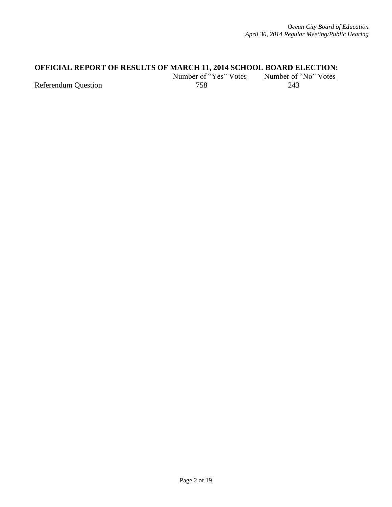# **OFFICIAL REPORT OF RESULTS OF MARCH 11, 2014 SCHOOL BOARD ELECTION:**<br>Number of "Yes" Votes Number of "No" Votes

 $\frac{\text{Number of "Yes" Votes}}{758}$  Number of "<br>243

Referendum Question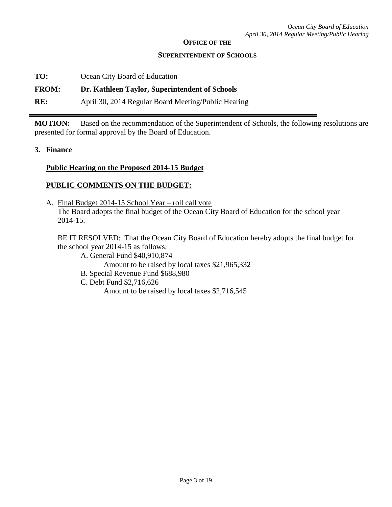#### **OFFICE OF THE**

#### **SUPERINTENDENT OF SCHOOLS**

**TO:** Ocean City Board of Education

#### **FROM: Dr. Kathleen Taylor, Superintendent of Schools**

**RE:** April 30, 2014 Regular Board Meeting/Public Hearing

**MOTION:** Based on the recommendation of the Superintendent of Schools, the following resolutions are presented for formal approval by the Board of Education.

**3. Finance**

#### **Public Hearing on the Proposed 2014-15 Budget**

# **PUBLIC COMMENTS ON THE BUDGET:**

A. Final Budget 2014-15 School Year – roll call vote The Board adopts the final budget of the Ocean City Board of Education for the school year 2014-15.

BE IT RESOLVED: That the Ocean City Board of Education hereby adopts the final budget for the school year 2014-15 as follows:

A. General Fund \$40,910,874

Amount to be raised by local taxes \$21,965,332

- B. Special Revenue Fund \$688,980
- C. Debt Fund \$2,716,626

Amount to be raised by local taxes \$2,716,545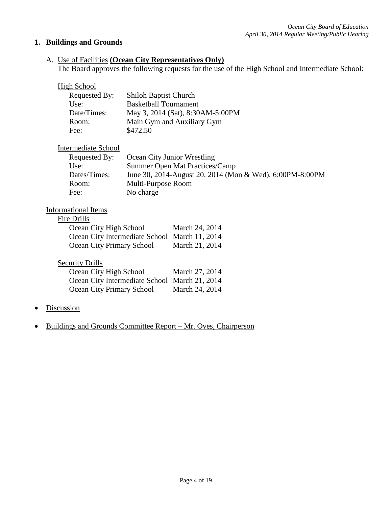# **1. Buildings and Grounds**

# A. Use of Facilities **(Ocean City Representatives Only)**

The Board approves the following requests for the use of the High School and Intermediate School:

# **High School**

| Requested By: | <b>Shiloh Baptist Church</b>     |
|---------------|----------------------------------|
| Use:          | <b>Basketball Tournament</b>     |
| Date/Times:   | May 3, 2014 (Sat), 8:30AM-5:00PM |
| Room:         | Main Gym and Auxiliary Gym       |
| Fee:          | \$472.50                         |

# Intermediate School

| Requested By: | Ocean City Junior Wrestling                              |
|---------------|----------------------------------------------------------|
| Use:          | Summer Open Mat Practices/Camp                           |
| Dates/Times:  | June 30, 2014-August 20, 2014 (Mon & Wed), 6:00PM-8:00PM |
| Room:         | Multi-Purpose Room                                       |
| Fee:          | No charge                                                |

#### Informational Items

| Drills<br>е. |
|--------------|
|--------------|

| Ocean City High School                        | March 24, 2014 |
|-----------------------------------------------|----------------|
| Ocean City Intermediate School March 11, 2014 |                |
| Ocean City Primary School                     | March 21, 2014 |

| <b>Security Drills</b>                        |                |
|-----------------------------------------------|----------------|
| Ocean City High School                        | March 27, 2014 |
| Ocean City Intermediate School March 21, 2014 |                |
| Ocean City Primary School                     | March 24, 2014 |

- Discussion
- Buildings and Grounds Committee Report Mr. Oves, Chairperson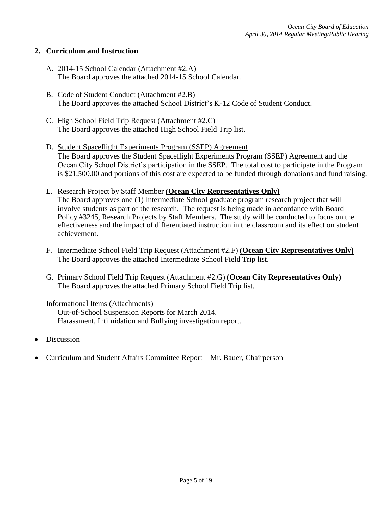## **2. Curriculum and Instruction**

- A. 2014-15 School Calendar (Attachment #2.A) The Board approves the attached 2014-15 School Calendar.
- B. Code of Student Conduct (Attachment #2.B) The Board approves the attached School District's K-12 Code of Student Conduct.
- C. High School Field Trip Request (Attachment #2.C) The Board approves the attached High School Field Trip list.
- D. Student Spaceflight Experiments Program (SSEP) Agreement The Board approves the Student Spaceflight Experiments Program (SSEP) Agreement and the Ocean City School District's participation in the SSEP. The total cost to participate in the Program is \$21,500.00 and portions of this cost are expected to be funded through donations and fund raising.
- E. Research Project by Staff Member **(Ocean City Representatives Only)** The Board approves one (1) Intermediate School graduate program research project that will involve students as part of the research. The request is being made in accordance with Board Policy #3245, Research Projects by Staff Members. The study will be conducted to focus on the effectiveness and the impact of differentiated instruction in the classroom and its effect on student
- F. Intermediate School Field Trip Request (Attachment #2.F) **(Ocean City Representatives Only)** The Board approves the attached Intermediate School Field Trip list.
- G. Primary School Field Trip Request (Attachment #2.G) **(Ocean City Representatives Only)** The Board approves the attached Primary School Field Trip list.

#### Informational Items (Attachments)

achievement.

Out-of-School Suspension Reports for March 2014. Harassment, Intimidation and Bullying investigation report.

- Discussion
- Curriculum and Student Affairs Committee Report Mr. Bauer, Chairperson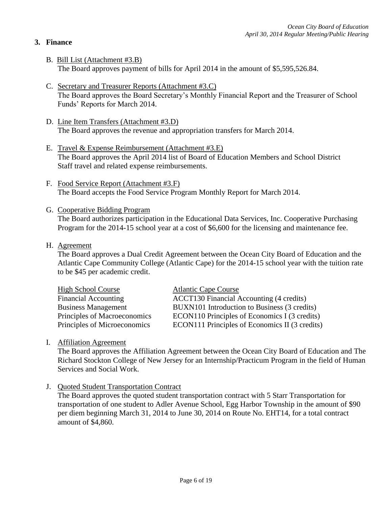# **3. Finance**

- B. Bill List (Attachment #3.B) The Board approves payment of bills for April 2014 in the amount of \$5,595,526.84.
- C. Secretary and Treasurer Reports (Attachment #3.C) The Board approves the Board Secretary's Monthly Financial Report and the Treasurer of School Funds' Reports for March 2014.
- D. Line Item Transfers (Attachment #3.D) The Board approves the revenue and appropriation transfers for March 2014.
- E. Travel & Expense Reimbursement (Attachment #3.E) The Board approves the April 2014 list of Board of Education Members and School District Staff travel and related expense reimbursements.
- F. Food Service Report (Attachment #3.F) The Board accepts the Food Service Program Monthly Report for March 2014.
- G. Cooperative Bidding Program

The Board authorizes participation in the Educational Data Services, Inc. Cooperative Purchasing Program for the 2014-15 school year at a cost of \$6,600 for the licensing and maintenance fee.

H. Agreement

The Board approves a Dual Credit Agreement between the Ocean City Board of Education and the Atlantic Cape Community College (Atlantic Cape) for the 2014-15 school year with the tuition rate to be \$45 per academic credit.

| <b>High School Course</b>    | <b>Atlantic Cape Course</b>                    |
|------------------------------|------------------------------------------------|
| <b>Financial Accounting</b>  | ACCT130 Financial Accounting (4 credits)       |
| <b>Business Management</b>   | BUXN101 Introduction to Business (3 credits)   |
| Principles of Macroeconomics | ECON110 Principles of Economics I (3 credits)  |
| Principles of Microeconomics | ECON111 Principles of Economics II (3 credits) |

## I. Affiliation Agreement

The Board approves the Affiliation Agreement between the Ocean City Board of Education and The Richard Stockton College of New Jersey for an Internship/Practicum Program in the field of Human Services and Social Work.

J. Quoted Student Transportation Contract

The Board approves the quoted student transportation contract with 5 Starr Transportation for transportation of one student to Adler Avenue School, Egg Harbor Township in the amount of \$90 per diem beginning March 31, 2014 to June 30, 2014 on Route No. EHT14, for a total contract amount of \$4,860.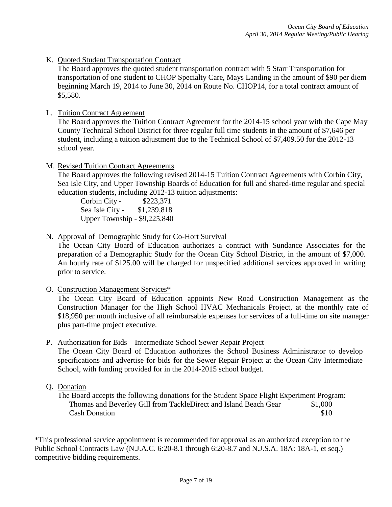K. Quoted Student Transportation Contract

The Board approves the quoted student transportation contract with 5 Starr Transportation for transportation of one student to CHOP Specialty Care, Mays Landing in the amount of \$90 per diem beginning March 19, 2014 to June 30, 2014 on Route No. CHOP14, for a total contract amount of \$5,580.

## L. Tuition Contract Agreement

The Board approves the Tuition Contract Agreement for the 2014-15 school year with the Cape May County Technical School District for three regular full time students in the amount of \$7,646 per student, including a tuition adjustment due to the Technical School of \$7,409.50 for the 2012-13 school year.

M. Revised Tuition Contract Agreements

The Board approves the following revised 2014-15 Tuition Contract Agreements with Corbin City, Sea Isle City, and Upper Township Boards of Education for full and shared-time regular and special education students, including 2012-13 tuition adjustments:

Corbin City - \$223,371 Sea Isle City - \$1,239,818 Upper Township - \$9,225,840

N. Approval of Demographic Study for Co-Hort Survival

The Ocean City Board of Education authorizes a contract with Sundance Associates for the preparation of a Demographic Study for the Ocean City School District, in the amount of \$7,000. An hourly rate of \$125.00 will be charged for unspecified additional services approved in writing prior to service.

O. Construction Management Services\*

The Ocean City Board of Education appoints New Road Construction Management as the Construction Manager for the High School HVAC Mechanicals Project, at the monthly rate of \$18,950 per month inclusive of all reimbursable expenses for services of a full-time on site manager plus part-time project executive.

P. Authorization for Bids – Intermediate School Sewer Repair Project

The Ocean City Board of Education authorizes the School Business Administrator to develop specifications and advertise for bids for the Sewer Repair Project at the Ocean City Intermediate School, with funding provided for in the 2014-2015 school budget.

Q. Donation

The Board accepts the following donations for the Student Space Flight Experiment Program: Thomas and Beverley Gill from TackleDirect and Island Beach Gear \$1,000 Cash Donation  $$10$ 

\*This professional service appointment is recommended for approval as an authorized exception to the Public School Contracts Law (N.J.A.C. 6:20-8.1 through 6:20-8.7 and N.J.S.A. 18A: 18A-1, et seq.) competitive bidding requirements.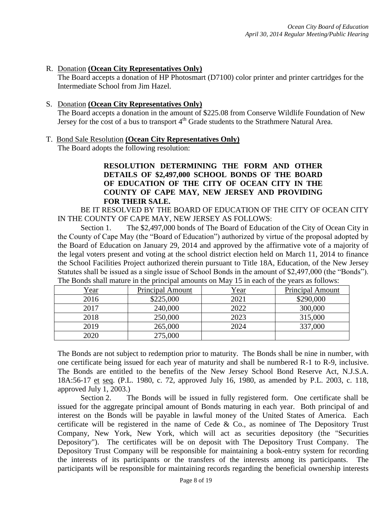## R. Donation **(Ocean City Representatives Only)**

The Board accepts a donation of HP Photosmart (D7100) color printer and printer cartridges for the Intermediate School from Jim Hazel.

#### S. Donation **(Ocean City Representatives Only)**

The Board accepts a donation in the amount of \$225.08 from Conserve Wildlife Foundation of New Jersey for the cost of a bus to transport 4<sup>th</sup> Grade students to the Strathmere Natural Area.

#### T. Bond Sale Resolution **(Ocean City Representatives Only)**

The Board adopts the following resolution:

# **RESOLUTION DETERMINING THE FORM AND OTHER DETAILS OF \$2,497,000 SCHOOL BONDS OF THE BOARD OF EDUCATION OF THE CITY OF OCEAN CITY IN THE COUNTY OF CAPE MAY, NEW JERSEY AND PROVIDING FOR THEIR SALE.**

BE IT RESOLVED BY THE BOARD OF EDUCATION OF THE CITY OF OCEAN CITY IN THE COUNTY OF CAPE MAY, NEW JERSEY AS FOLLOWS:

Section 1. The \$2,497,000 bonds of The Board of Education of the City of Ocean City in the County of Cape May (the "Board of Education") authorized by virtue of the proposal adopted by the Board of Education on January 29, 2014 and approved by the affirmative vote of a majority of the legal voters present and voting at the school district election held on March 11, 2014 to finance the School Facilities Project authorized therein pursuant to Title 18A, Education, of the New Jersey Statutes shall be issued as a single issue of School Bonds in the amount of \$2,497,000 (the "Bonds"). The Bonds shall mature in the principal amounts on May 15 in each of the years as follows:

| <u>Year</u> | <b>Principal Amount</b> | Year | Principal Amount |
|-------------|-------------------------|------|------------------|
| 2016        | \$225,000               | 2021 | \$290,000        |
| 2017        | 240,000                 | 2022 | 300,000          |
| 2018        | 250,000                 | 2023 | 315,000          |
| 2019        | 265,000                 | 2024 | 337,000          |
| 2020        | 275,000                 |      |                  |

The Bonds are not subject to redemption prior to maturity. The Bonds shall be nine in number, with one certificate being issued for each year of maturity and shall be numbered R-1 to R-9, inclusive. The Bonds are entitled to the benefits of the New Jersey School Bond Reserve Act, N.J.S.A. 18A:56-17 et seq. (P.L. 1980, c. 72, approved July 16, 1980, as amended by P.L. 2003, c. 118, approved July 1, 2003.)

Section 2. The Bonds will be issued in fully registered form. One certificate shall be issued for the aggregate principal amount of Bonds maturing in each year. Both principal of and interest on the Bonds will be payable in lawful money of the United States of America. Each certificate will be registered in the name of Cede & Co., as nominee of The Depository Trust Company, New York, New York, which will act as securities depository (the "Securities Depository"). The certificates will be on deposit with The Depository Trust Company. The Depository Trust Company will be responsible for maintaining a book-entry system for recording the interests of its participants or the transfers of the interests among its participants. The participants will be responsible for maintaining records regarding the beneficial ownership interests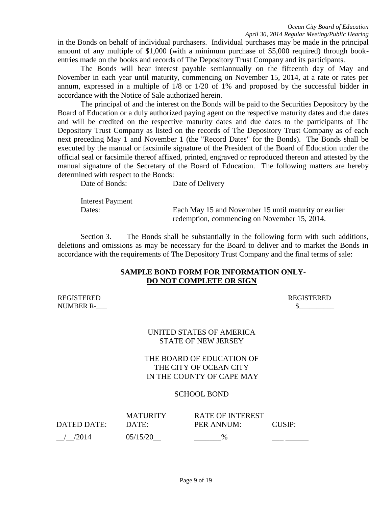in the Bonds on behalf of individual purchasers. Individual purchases may be made in the principal amount of any multiple of \$1,000 (with a minimum purchase of \$5,000 required) through bookentries made on the books and records of The Depository Trust Company and its participants.

The Bonds will bear interest payable semiannually on the fifteenth day of May and November in each year until maturity, commencing on November 15, 2014, at a rate or rates per annum, expressed in a multiple of 1/8 or 1/20 of 1% and proposed by the successful bidder in accordance with the Notice of Sale authorized herein.

The principal of and the interest on the Bonds will be paid to the Securities Depository by the Board of Education or a duly authorized paying agent on the respective maturity dates and due dates and will be credited on the respective maturity dates and due dates to the participants of The Depository Trust Company as listed on the records of The Depository Trust Company as of each next preceding May 1 and November 1 (the "Record Dates" for the Bonds). The Bonds shall be executed by the manual or facsimile signature of the President of the Board of Education under the official seal or facsimile thereof affixed, printed, engraved or reproduced thereon and attested by the manual signature of the Secretary of the Board of Education. The following matters are hereby determined with respect to the Bonds:

Date of Bonds: Date of Delivery

Interest Payment

Dates: Each May 15 and November 15 until maturity or earlier redemption, commencing on November 15, 2014.

Section 3. The Bonds shall be substantially in the following form with such additions, deletions and omissions as may be necessary for the Board to deliver and to market the Bonds in accordance with the requirements of The Depository Trust Company and the final terms of sale:

## **SAMPLE BOND FORM FOR INFORMATION ONLY-DO NOT COMPLETE OR SIGN**

REGISTERED REGISTERED NUMBER R-

| REGISTERED |  |
|------------|--|
|            |  |

# UNITED STATES OF AMERICA STATE OF NEW JERSEY

# THE BOARD OF EDUCATION OF THE CITY OF OCEAN CITY IN THE COUNTY OF CAPE MAY

# SCHOOL BOND

| DATED DATE: | <b>MATURITY</b><br>DATE: | <b>RATE OF INTEREST</b><br>PER ANNUM: | CUSIP: |
|-------------|--------------------------|---------------------------------------|--------|
| /2014       | 05/15/20                 | $\%$                                  |        |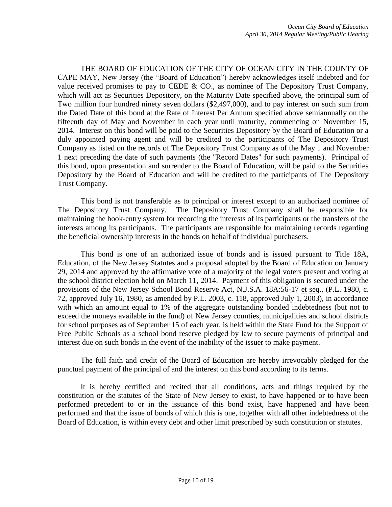THE BOARD OF EDUCATION OF THE CITY OF OCEAN CITY IN THE COUNTY OF CAPE MAY, New Jersey (the "Board of Education") hereby acknowledges itself indebted and for value received promises to pay to CEDE & CO., as nominee of The Depository Trust Company, which will act as Securities Depository, on the Maturity Date specified above, the principal sum of Two million four hundred ninety seven dollars (\$2,497,000), and to pay interest on such sum from the Dated Date of this bond at the Rate of Interest Per Annum specified above semiannually on the fifteenth day of May and November in each year until maturity, commencing on November 15, 2014. Interest on this bond will be paid to the Securities Depository by the Board of Education or a duly appointed paying agent and will be credited to the participants of The Depository Trust Company as listed on the records of The Depository Trust Company as of the May 1 and November 1 next preceding the date of such payments (the "Record Dates" for such payments). Principal of this bond, upon presentation and surrender to the Board of Education, will be paid to the Securities Depository by the Board of Education and will be credited to the participants of The Depository Trust Company.

This bond is not transferable as to principal or interest except to an authorized nominee of The Depository Trust Company. The Depository Trust Company shall be responsible for maintaining the book-entry system for recording the interests of its participants or the transfers of the interests among its participants. The participants are responsible for maintaining records regarding the beneficial ownership interests in the bonds on behalf of individual purchasers.

This bond is one of an authorized issue of bonds and is issued pursuant to Title 18A, Education, of the New Jersey Statutes and a proposal adopted by the Board of Education on January 29, 2014 and approved by the affirmative vote of a majority of the legal voters present and voting at the school district election held on March 11, 2014. Payment of this obligation is secured under the provisions of the New Jersey School Bond Reserve Act, N.J.S.A. 18A:56-17 et seq., (P.L. 1980, c. 72, approved July 16, 1980, as amended by P.L. 2003, c. 118, approved July 1, 2003), in accordance with which an amount equal to 1% of the aggregate outstanding bonded indebtedness (but not to exceed the moneys available in the fund) of New Jersey counties, municipalities and school districts for school purposes as of September 15 of each year, is held within the State Fund for the Support of Free Public Schools as a school bond reserve pledged by law to secure payments of principal and interest due on such bonds in the event of the inability of the issuer to make payment.

The full faith and credit of the Board of Education are hereby irrevocably pledged for the punctual payment of the principal of and the interest on this bond according to its terms.

It is hereby certified and recited that all conditions, acts and things required by the constitution or the statutes of the State of New Jersey to exist, to have happened or to have been performed precedent to or in the issuance of this bond exist, have happened and have been performed and that the issue of bonds of which this is one, together with all other indebtedness of the Board of Education, is within every debt and other limit prescribed by such constitution or statutes.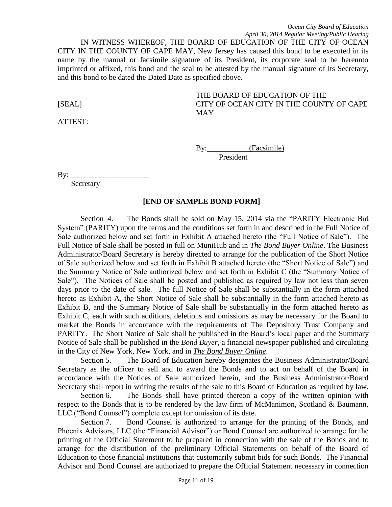#### *Ocean City Board of Education April 30, 2014 Regular Meeting/Public Hearing*

IN WITNESS WHEREOF, THE BOARD OF EDUCATION OF THE CITY OF OCEAN CITY IN THE COUNTY OF CAPE MAY, New Jersey has caused this bond to be executed in its name by the manual or facsimile signature of its President, its corporate seal to be hereunto imprinted or affixed, this bond and the seal to be attested by the manual signature of its Secretary, and this bond to be dated the Dated Date as specified above.

ATTEST:

# THE BOARD OF EDUCATION OF THE [SEAL] CITY OF OCEAN CITY IN THE COUNTY OF CAPE MAY

By: (Facsimile) President

By:

**Secretary** 

#### **[END OF SAMPLE BOND FORM]**

Section 4. The Bonds shall be sold on May 15, 2014 via the "PARITY Electronic Bid System" (PARITY) upon the terms and the conditions set forth in and described in the Full Notice of Sale authorized below and set forth in Exhibit A attached hereto (the "Full Notice of Sale"). The Full Notice of Sale shall be posted in full on MuniHub and in *The Bond Buyer Online*. The Business Administrator/Board Secretary is hereby directed to arrange for the publication of the Short Notice of Sale authorized below and set forth in Exhibit B attached hereto (the "Short Notice of Sale") and the Summary Notice of Sale authorized below and set forth in Exhibit C (the "Summary Notice of Sale"). The Notices of Sale shall be posted and published as required by law not less than seven days prior to the date of sale. The full Notice of Sale shall be substantially in the form attached hereto as Exhibit A, the Short Notice of Sale shall be substantially in the form attached hereto as Exhibit B, and the Summary Notice of Sale shall be substantially in the form attached hereto as Exhibit C, each with such additions, deletions and omissions as may be necessary for the Board to market the Bonds in accordance with the requirements of The Depository Trust Company and PARITY. The Short Notice of Sale shall be published in the Board's local paper and the Summary Notice of Sale shall be published in the *Bond Buyer*, a financial newspaper published and circulating in the City of New York, New York, and in *The Bond Buyer Online*.

Section 5. The Board of Education hereby designates the Business Administrator/Board Secretary as the officer to sell and to award the Bonds and to act on behalf of the Board in accordance with the Notices of Sale authorized herein, and the Business Administrator/Board Secretary shall report in writing the results of the sale to this Board of Education as required by law.

Section 6. The Bonds shall have printed thereon a copy of the written opinion with respect to the Bonds that is to be rendered by the law firm of McManimon, Scotland & Baumann, LLC ("Bond Counsel") complete except for omission of its date.

Section 7. Bond Counsel is authorized to arrange for the printing of the Bonds, and Phoenix Advisors, LLC (the "Financial Advisor") or Bond Counsel are authorized to arrange for the printing of the Official Statement to be prepared in connection with the sale of the Bonds and to arrange for the distribution of the preliminary Official Statements on behalf of the Board of Education to those financial institutions that customarily submit bids for such Bonds. The Financial Advisor and Bond Counsel are authorized to prepare the Official Statement necessary in connection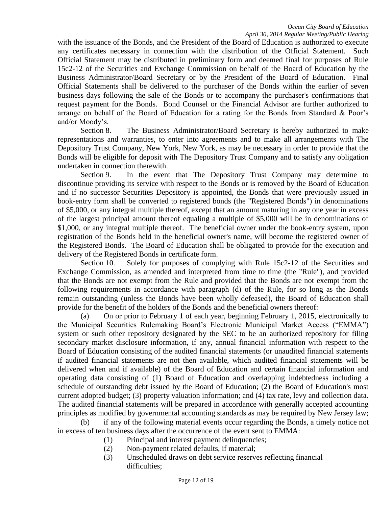with the issuance of the Bonds, and the President of the Board of Education is authorized to execute any certificates necessary in connection with the distribution of the Official Statement. Such Official Statement may be distributed in preliminary form and deemed final for purposes of Rule 15c2-12 of the Securities and Exchange Commission on behalf of the Board of Education by the Business Administrator/Board Secretary or by the President of the Board of Education. Final Official Statements shall be delivered to the purchaser of the Bonds within the earlier of seven business days following the sale of the Bonds or to accompany the purchaser's confirmations that request payment for the Bonds. Bond Counsel or the Financial Advisor are further authorized to arrange on behalf of the Board of Education for a rating for the Bonds from Standard & Poor's and/or Moody's.

Section 8. The Business Administrator/Board Secretary is hereby authorized to make representations and warranties, to enter into agreements and to make all arrangements with The Depository Trust Company, New York, New York, as may be necessary in order to provide that the Bonds will be eligible for deposit with The Depository Trust Company and to satisfy any obligation undertaken in connection therewith.

Section 9. In the event that The Depository Trust Company may determine to discontinue providing its service with respect to the Bonds or is removed by the Board of Education and if no successor Securities Depository is appointed, the Bonds that were previously issued in book-entry form shall be converted to registered bonds (the "Registered Bonds") in denominations of \$5,000, or any integral multiple thereof, except that an amount maturing in any one year in excess of the largest principal amount thereof equaling a multiple of \$5,000 will be in denominations of \$1,000, or any integral multiple thereof. The beneficial owner under the book-entry system, upon registration of the Bonds held in the beneficial owner's name, will become the registered owner of the Registered Bonds. The Board of Education shall be obligated to provide for the execution and delivery of the Registered Bonds in certificate form.

Section 10. Solely for purposes of complying with Rule 15c2-12 of the Securities and Exchange Commission, as amended and interpreted from time to time (the "Rule"), and provided that the Bonds are not exempt from the Rule and provided that the Bonds are not exempt from the following requirements in accordance with paragraph (d) of the Rule, for so long as the Bonds remain outstanding (unless the Bonds have been wholly defeased), the Board of Education shall provide for the benefit of the holders of the Bonds and the beneficial owners thereof:

(a) On or prior to February 1 of each year, beginning February 1, 2015, electronically to the Municipal Securities Rulemaking Board's Electronic Municipal Market Access ("EMMA") system or such other repository designated by the SEC to be an authorized repository for filing secondary market disclosure information, if any, annual financial information with respect to the Board of Education consisting of the audited financial statements (or unaudited financial statements if audited financial statements are not then available, which audited financial statements will be delivered when and if available) of the Board of Education and certain financial information and operating data consisting of (1) Board of Education and overlapping indebtedness including a schedule of outstanding debt issued by the Board of Education; (2) the Board of Education's most current adopted budget; (3) property valuation information; and (4) tax rate, levy and collection data. The audited financial statements will be prepared in accordance with generally accepted accounting principles as modified by governmental accounting standards as may be required by New Jersey law;

(b) if any of the following material events occur regarding the Bonds, a timely notice not in excess of ten business days after the occurrence of the event sent to EMMA:

(1) Principal and interest payment delinquencies;

- (2) Non-payment related defaults, if material;
- (3) Unscheduled draws on debt service reserves reflecting financial difficulties;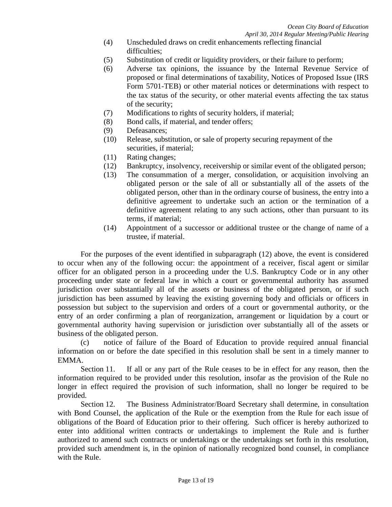- (4) Unscheduled draws on credit enhancements reflecting financial difficulties;
- (5) Substitution of credit or liquidity providers, or their failure to perform;
- (6) Adverse tax opinions, the issuance by the Internal Revenue Service of proposed or final determinations of taxability, Notices of Proposed Issue (IRS Form 5701-TEB) or other material notices or determinations with respect to the tax status of the security, or other material events affecting the tax status of the security;
- (7) Modifications to rights of security holders, if material;
- (8) Bond calls, if material, and tender offers;
- (9) Defeasances;
- (10) Release, substitution, or sale of property securing repayment of the securities, if material;
- (11) Rating changes;
- (12) Bankruptcy, insolvency, receivership or similar event of the obligated person;
- (13) The consummation of a merger, consolidation, or acquisition involving an obligated person or the sale of all or substantially all of the assets of the obligated person, other than in the ordinary course of business, the entry into a definitive agreement to undertake such an action or the termination of a definitive agreement relating to any such actions, other than pursuant to its terms, if material;
- (14) Appointment of a successor or additional trustee or the change of name of a trustee, if material.

For the purposes of the event identified in subparagraph (12) above, the event is considered to occur when any of the following occur: the appointment of a receiver, fiscal agent or similar officer for an obligated person in a proceeding under the U.S. Bankruptcy Code or in any other proceeding under state or federal law in which a court or governmental authority has assumed jurisdiction over substantially all of the assets or business of the obligated person, or if such jurisdiction has been assumed by leaving the existing governing body and officials or officers in possession but subject to the supervision and orders of a court or governmental authority, or the entry of an order confirming a plan of reorganization, arrangement or liquidation by a court or governmental authority having supervision or jurisdiction over substantially all of the assets or business of the obligated person.

(c) notice of failure of the Board of Education to provide required annual financial information on or before the date specified in this resolution shall be sent in a timely manner to EMMA.

Section 11. If all or any part of the Rule ceases to be in effect for any reason, then the information required to be provided under this resolution, insofar as the provision of the Rule no longer in effect required the provision of such information, shall no longer be required to be provided.

Section 12. The Business Administrator/Board Secretary shall determine, in consultation with Bond Counsel, the application of the Rule or the exemption from the Rule for each issue of obligations of the Board of Education prior to their offering. Such officer is hereby authorized to enter into additional written contracts or undertakings to implement the Rule and is further authorized to amend such contracts or undertakings or the undertakings set forth in this resolution, provided such amendment is, in the opinion of nationally recognized bond counsel, in compliance with the Rule.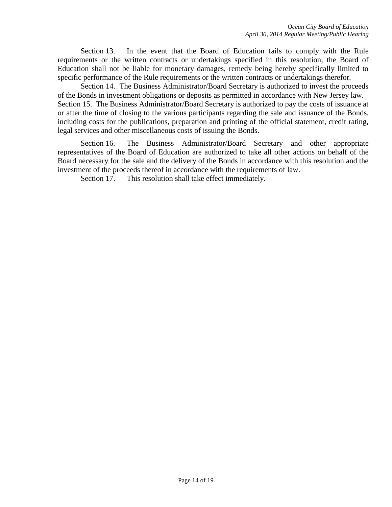Section 13. In the event that the Board of Education fails to comply with the Rule requirements or the written contracts or undertakings specified in this resolution, the Board of Education shall not be liable for monetary damages, remedy being hereby specifically limited to specific performance of the Rule requirements or the written contracts or undertakings therefor.

Section 14. The Business Administrator/Board Secretary is authorized to invest the proceeds of the Bonds in investment obligations or deposits as permitted in accordance with New Jersey law. Section 15. The Business Administrator/Board Secretary is authorized to pay the costs of issuance at or after the time of closing to the various participants regarding the sale and issuance of the Bonds, including costs for the publications, preparation and printing of the official statement, credit rating, legal services and other miscellaneous costs of issuing the Bonds.

Section 16. The Business Administrator/Board Secretary and other appropriate representatives of the Board of Education are authorized to take all other actions on behalf of the Board necessary for the sale and the delivery of the Bonds in accordance with this resolution and the investment of the proceeds thereof in accordance with the requirements of law.

Section 17. This resolution shall take effect immediately.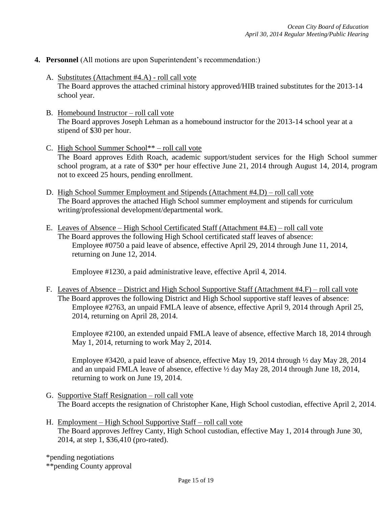- **4. Personnel** (All motions are upon Superintendent's recommendation:)
	- A. Substitutes (Attachment #4.A) roll call vote The Board approves the attached criminal history approved/HIB trained substitutes for the 2013-14 school year.
	- B. Homebound Instructor roll call vote The Board approves Joseph Lehman as a homebound instructor for the 2013-14 school year at a stipend of \$30 per hour.
	- C. High School Summer School\*\* roll call vote The Board approves Edith Roach, academic support/student services for the High School summer school program, at a rate of \$30\* per hour effective June 21, 2014 through August 14, 2014, program not to exceed 25 hours, pending enrollment.
	- D. High School Summer Employment and Stipends (Attachment #4.D) roll call vote The Board approves the attached High School summer employment and stipends for curriculum writing/professional development/departmental work.
	- E. Leaves of Absence High School Certificated Staff (Attachment #4.E) roll call vote The Board approves the following High School certificated staff leaves of absence: Employee #0750 a paid leave of absence, effective April 29, 2014 through June 11, 2014, returning on June 12, 2014.

Employee #1230, a paid administrative leave, effective April 4, 2014.

F. Leaves of Absence – District and High School Supportive Staff (Attachment #4.F) – roll call vote The Board approves the following District and High School supportive staff leaves of absence: Employee #2763, an unpaid FMLA leave of absence, effective April 9, 2014 through April 25, 2014, returning on April 28, 2014.

Employee #2100, an extended unpaid FMLA leave of absence, effective March 18, 2014 through May 1, 2014, returning to work May 2, 2014.

Employee #3420, a paid leave of absence, effective May 19, 2014 through ½ day May 28, 2014 and an unpaid FMLA leave of absence, effective ½ day May 28, 2014 through June 18, 2014, returning to work on June 19, 2014.

- G. Supportive Staff Resignation roll call vote The Board accepts the resignation of Christopher Kane, High School custodian, effective April 2, 2014.
- H. Employment High School Supportive Staff roll call vote The Board approves Jeffrey Canty, High School custodian, effective May 1, 2014 through June 30, 2014, at step 1, \$36,410 (pro-rated).

\*pending negotiations

\*\*pending County approval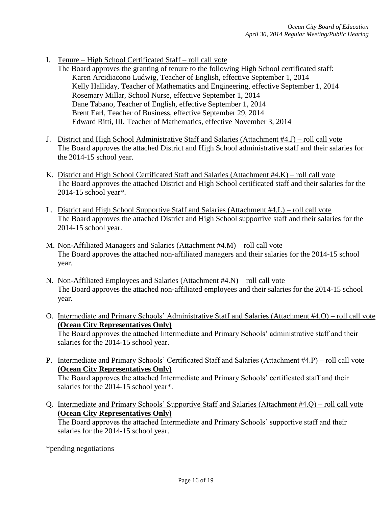- I. Tenure High School Certificated Staff roll call vote
	- The Board approves the granting of tenure to the following High School certificated staff: Karen Arcidiacono Ludwig, Teacher of English, effective September 1, 2014 Kelly Halliday, Teacher of Mathematics and Engineering, effective September 1, 2014 Rosemary Millar, School Nurse, effective September 1, 2014 Dane Tabano, Teacher of English, effective September 1, 2014 Brent Earl, Teacher of Business, effective September 29, 2014 Edward Ritti, III, Teacher of Mathematics, effective November 3, 2014
- J. District and High School Administrative Staff and Salaries (Attachment #4.J) roll call vote The Board approves the attached District and High School administrative staff and their salaries for the 2014-15 school year.
- K. District and High School Certificated Staff and Salaries (Attachment #4.K) roll call vote The Board approves the attached District and High School certificated staff and their salaries for the 2014-15 school year\*.
- L. District and High School Supportive Staff and Salaries (Attachment #4.L) roll call vote The Board approves the attached District and High School supportive staff and their salaries for the 2014-15 school year.
- M. Non-Affiliated Managers and Salaries (Attachment #4.M) roll call vote The Board approves the attached non-affiliated managers and their salaries for the 2014-15 school year.
- N. Non-Affiliated Employees and Salaries (Attachment #4.N) roll call vote The Board approves the attached non-affiliated employees and their salaries for the 2014-15 school year.
- O. Intermediate and Primary Schools' Administrative Staff and Salaries (Attachment #4.O) roll call vote **(Ocean City Representatives Only)** The Board approves the attached Intermediate and Primary Schools' administrative staff and their salaries for the 2014-15 school year.
- P. Intermediate and Primary Schools' Certificated Staff and Salaries (Attachment #4.P) roll call vote **(Ocean City Representatives Only)** The Board approves the attached Intermediate and Primary Schools' certificated staff and their salaries for the 2014-15 school year<sup>\*</sup>.
- Q. Intermediate and Primary Schools' Supportive Staff and Salaries (Attachment #4.Q) roll call vote **(Ocean City Representatives Only)** The Board approves the attached Intermediate and Primary Schools' supportive staff and their

salaries for the 2014-15 school year.

\*pending negotiations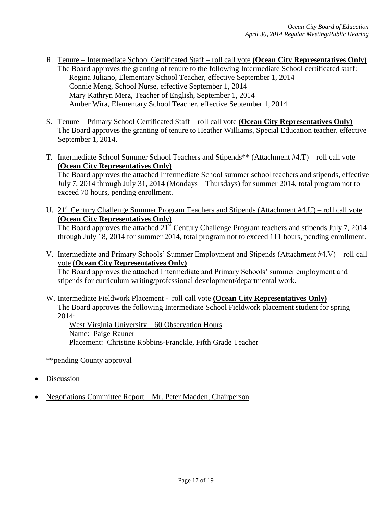- R. Tenure Intermediate School Certificated Staff roll call vote **(Ocean City Representatives Only)** The Board approves the granting of tenure to the following Intermediate School certificated staff: Regina Juliano, Elementary School Teacher, effective September 1, 2014 Connie Meng, School Nurse, effective September 1, 2014 Mary Kathryn Merz, Teacher of English, September 1, 2014 Amber Wira, Elementary School Teacher, effective September 1, 2014
- S. Tenure Primary School Certificated Staff roll call vote **(Ocean City Representatives Only)** The Board approves the granting of tenure to Heather Williams, Special Education teacher, effective September 1, 2014.
- T. Intermediate School Summer School Teachers and Stipends\*\* (Attachment #4.T) roll call vote **(Ocean City Representatives Only)** The Board approves the attached Intermediate School summer school teachers and stipends, effective July 7, 2014 through July 31, 2014 (Mondays – Thursdays) for summer 2014, total program not to exceed 70 hours, pending enrollment.
- U. 21<sup>st</sup> Century Challenge Summer Program Teachers and Stipends (Attachment #4.U) roll call vote **(Ocean City Representatives Only)** The Board approves the attached 21<sup>st</sup> Century Challenge Program teachers and stipends July 7, 2014 through July 18, 2014 for summer 2014, total program not to exceed 111 hours, pending enrollment.
- V. Intermediate and Primary Schools' Summer Employment and Stipends (Attachment #4.V) roll call vote **(Ocean City Representatives Only)**

The Board approves the attached Intermediate and Primary Schools' summer employment and stipends for curriculum writing/professional development/departmental work.

W. Intermediate Fieldwork Placement - roll call vote **(Ocean City Representatives Only)** The Board approves the following Intermediate School Fieldwork placement student for spring 2014:

West Virginia University – 60 Observation Hours Name: Paige Rauner Placement: Christine Robbins-Franckle, Fifth Grade Teacher

\*\*pending County approval

- Discussion
- Negotiations Committee Report Mr. Peter Madden, Chairperson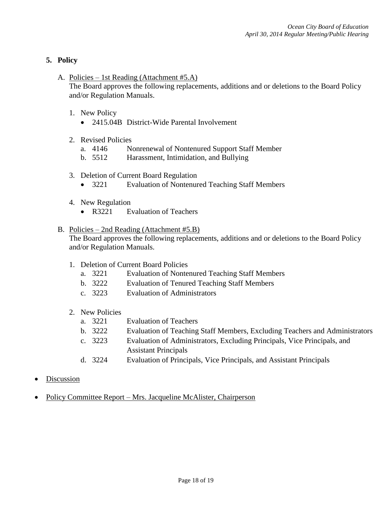# **5. Policy**

A. Policies – 1st Reading (Attachment #5.A)

The Board approves the following replacements, additions and or deletions to the Board Policy and/or Regulation Manuals.

- 1. New Policy
	- 2415.04B District-Wide Parental Involvement
- 2. Revised Policies
	- a. 4146 Nonrenewal of Nontenured Support Staff Member
	- b. 5512 Harassment, Intimidation, and Bullying
- 3. Deletion of Current Board Regulation
	- 3221 Evaluation of Nontenured Teaching Staff Members
- 4. New Regulation
	- R3221 Evaluation of Teachers

#### B. Policies – 2nd Reading (Attachment #5.B)

The Board approves the following replacements, additions and or deletions to the Board Policy and/or Regulation Manuals.

- 1. Deletion of Current Board Policies
	- a. 3221 Evaluation of Nontenured Teaching Staff Members
	- b. 3222 Evaluation of Tenured Teaching Staff Members
	- c. 3223 Evaluation of Administrators
- 2. New Policies
	- a. 3221 Evaluation of Teachers
	- b. 3222 Evaluation of Teaching Staff Members, Excluding Teachers and Administrators
	- c. 3223 Evaluation of Administrators, Excluding Principals, Vice Principals, and Assistant Principals
	- d. 3224 Evaluation of Principals, Vice Principals, and Assistant Principals
- Discussion
- Policy Committee Report Mrs. Jacqueline McAlister, Chairperson